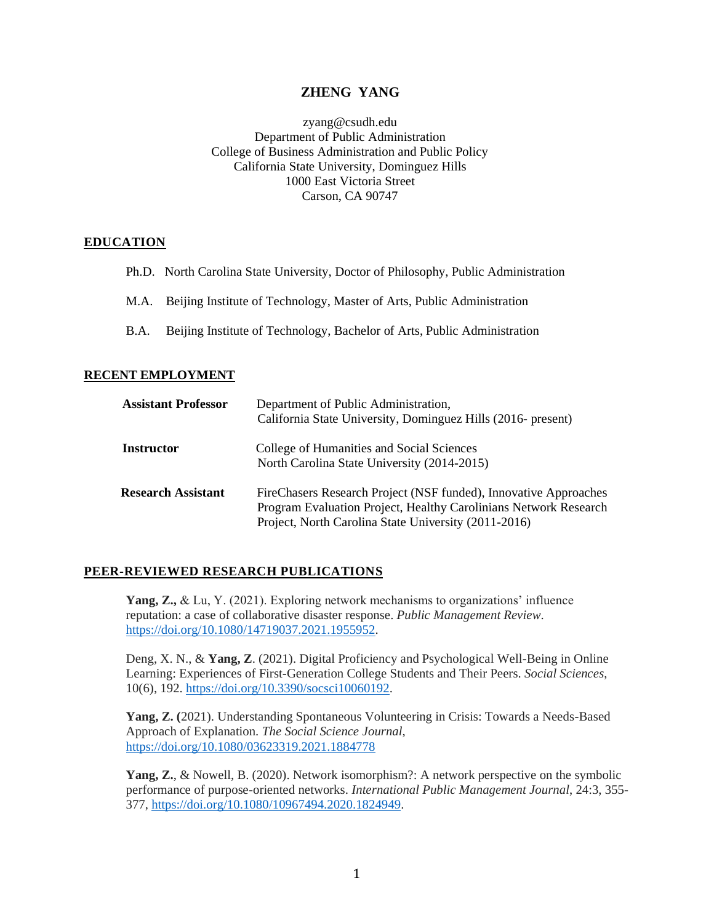# **ZHENG YANG**

zyang@csudh.edu Department of Public Administration College of Business Administration and Public Policy California State University, Dominguez Hills 1000 East Victoria Street Carson, CA 90747

### **EDUCATION**

- Ph.D. North Carolina State University, Doctor of Philosophy, Public Administration
- M.A. Beijing Institute of Technology, Master of Arts, Public Administration
- B.A. Beijing Institute of Technology, Bachelor of Arts, Public Administration

# **RECENT EMPLOYMENT**

| <b>Assistant Professor</b> | Department of Public Administration,<br>California State University, Dominguez Hills (2016- present)                                                                                         |
|----------------------------|----------------------------------------------------------------------------------------------------------------------------------------------------------------------------------------------|
| <b>Instructor</b>          | College of Humanities and Social Sciences<br>North Carolina State University (2014-2015)                                                                                                     |
| <b>Research Assistant</b>  | FireChasers Research Project (NSF funded), Innovative Approaches<br>Program Evaluation Project, Healthy Carolinians Network Research<br>Project, North Carolina State University (2011-2016) |

#### **PEER-REVIEWED RESEARCH PUBLICATIONS**

**Yang, Z.,** & Lu, Y. (2021). Exploring network mechanisms to organizations' influence reputation: a case of collaborative disaster response. *Public Management Review*. [https://doi.org/10.1080/14719037.2021.1955952.](https://doi.org/10.1080/14719037.2021.1955952)

Deng, X. N., & **Yang, Z**. (2021). Digital Proficiency and Psychological Well-Being in Online Learning: Experiences of First-Generation College Students and Their Peers. *Social Sciences*, 10(6), 192. [https://doi.org/10.3390/socsci10060192.](https://doi.org/10.3390/socsci10060192)

**Yang, Z. (**2021). Understanding Spontaneous Volunteering in Crisis: Towards a Needs-Based Approach of Explanation. *The Social Science Journal*, <https://doi.org/10.1080/03623319.2021.1884778>

**Yang, Z.**, & Nowell, B. (2020). Network isomorphism?: A network perspective on the symbolic performance of purpose-oriented networks. *International Public Management Journal*, 24:3, 355- 377, [https://doi.org/10.1080/10967494.2020.1824949.](https://doi.org/10.1080/10967494.2020.1824949)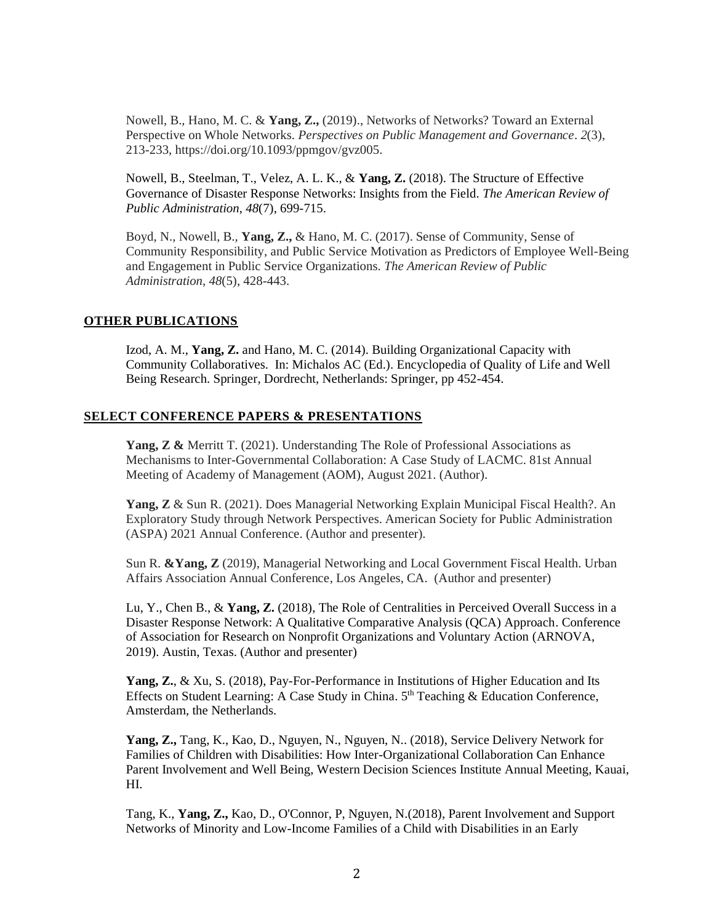Nowell, B., Hano, M. C. & **Yang, Z.,** (2019)., Networks of Networks? Toward an External Perspective on Whole Networks. *Perspectives on Public Management and Governance*. *2*(3), 213-233, https://doi.org/10.1093/ppmgov/gvz005.

Nowell, B., Steelman, T., Velez, A. L. K., & **Yang, Z.** (2018). The Structure of Effective Governance of Disaster Response Networks: Insights from the Field. *The American Review of Public Administration*, *48*(7), 699-715.

Boyd, N., Nowell, B., **Yang, Z.,** & Hano, M. C. (2017). Sense of Community, Sense of Community Responsibility, and Public Service Motivation as Predictors of Employee Well-Being and Engagement in Public Service Organizations. *The American Review of Public Administration*, *48*(5), 428-443.

# **OTHER PUBLICATIONS**

Izod, A. M., **Yang, Z.** and Hano, M. C. (2014). Building Organizational Capacity with Community Collaboratives. In: Michalos AC (Ed.). Encyclopedia of Quality of Life and Well Being Research. Springer, Dordrecht, Netherlands: Springer, pp 452-454.

### **SELECT CONFERENCE PAPERS & PRESENTATIONS**

**Yang, Z &** Merritt T. (2021). Understanding The Role of Professional Associations as Mechanisms to Inter-Governmental Collaboration: A Case Study of LACMC. 81st Annual Meeting of Academy of Management (AOM), August 2021. (Author).

**Yang, Z** & Sun R. (2021). Does Managerial Networking Explain Municipal Fiscal Health?. An Exploratory Study through Network Perspectives. American Society for Public Administration (ASPA) 2021 Annual Conference. (Author and presenter).

Sun R. **&Yang, Z** (2019), Managerial Networking and Local Government Fiscal Health. Urban Affairs Association Annual Conference, Los Angeles, CA. (Author and presenter)

Lu, Y., Chen B., & **Yang, Z.** (2018), The Role of Centralities in Perceived Overall Success in a Disaster Response Network: A Qualitative Comparative Analysis (QCA) Approach. Conference of Association for Research on Nonprofit Organizations and Voluntary Action (ARNOVA, 2019). Austin, Texas. (Author and presenter)

Yang, Z., & Xu, S. (2018), Pay-For-Performance in Institutions of Higher Education and Its Effects on Student Learning: A Case Study in China. 5<sup>th</sup> Teaching & Education Conference, Amsterdam, the Netherlands.

**Yang, Z.,** Tang, K., Kao, D., Nguyen, N., Nguyen, N.. (2018), Service Delivery Network for Families of Children with Disabilities: How Inter-Organizational Collaboration Can Enhance Parent Involvement and Well Being, Western Decision Sciences Institute Annual Meeting, Kauai, HI.

Tang, K., **Yang, Z.,** Kao, D., O'Connor, P, Nguyen, N.(2018), Parent Involvement and Support Networks of Minority and Low-Income Families of a Child with Disabilities in an Early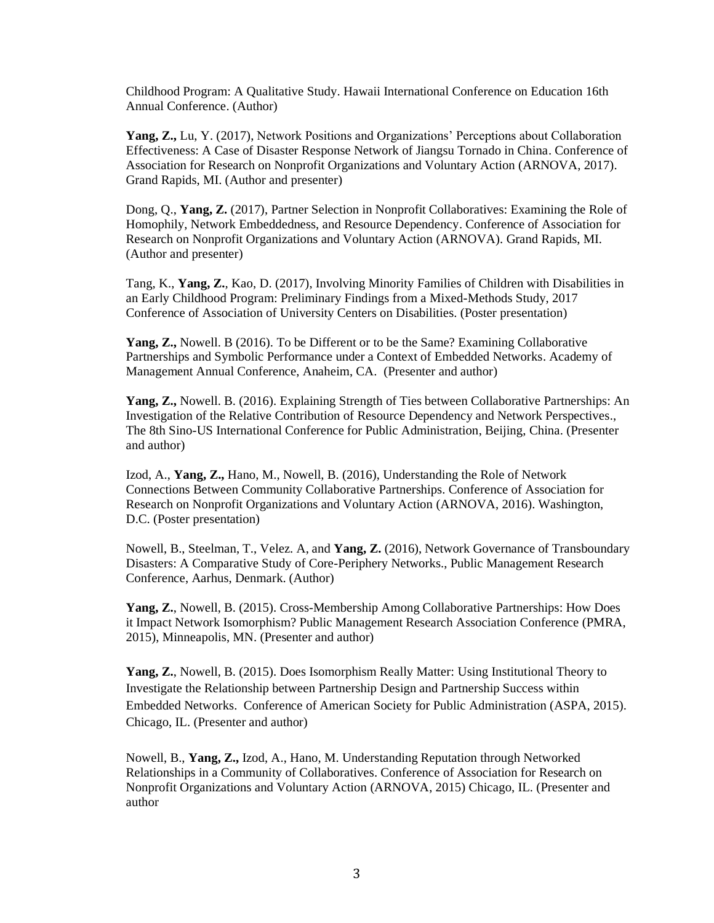Childhood Program: A Qualitative Study. Hawaii International Conference on Education 16th Annual Conference. (Author)

**Yang, Z.,** Lu, Y. (2017), Network Positions and Organizations' Perceptions about Collaboration Effectiveness: A Case of Disaster Response Network of Jiangsu Tornado in China. Conference of Association for Research on Nonprofit Organizations and Voluntary Action (ARNOVA, 2017). Grand Rapids, MI. (Author and presenter)

Dong, Q., **Yang, Z.** (2017), Partner Selection in Nonprofit Collaboratives: Examining the Role of Homophily, Network Embeddedness, and Resource Dependency. Conference of Association for Research on Nonprofit Organizations and Voluntary Action (ARNOVA). Grand Rapids, MI. (Author and presenter)

Tang, K., **Yang, Z.***,* Kao, D. (2017), Involving Minority Families of Children with Disabilities in an Early Childhood Program: Preliminary Findings from a Mixed-Methods Study, 2017 Conference of Association of University Centers on Disabilities. (Poster presentation)

**Yang, Z.,** Nowell. B (2016). To be Different or to be the Same? Examining Collaborative Partnerships and Symbolic Performance under a Context of Embedded Networks. Academy of Management Annual Conference, Anaheim, CA. (Presenter and author)

**Yang, Z.,** Nowell. B. (2016). Explaining Strength of Ties between Collaborative Partnerships: An Investigation of the Relative Contribution of Resource Dependency and Network Perspectives., The 8th Sino-US International Conference for Public Administration, Beijing, China. (Presenter and author)

Izod, A., **Yang, Z.,** Hano, M., Nowell, B. (2016), Understanding the Role of Network Connections Between Community Collaborative Partnerships. Conference of Association for Research on Nonprofit Organizations and Voluntary Action (ARNOVA, 2016). Washington, D.C. (Poster presentation)

Nowell, B., Steelman, T., Velez. A, and **Yang, Z.** (2016), Network Governance of Transboundary Disasters: A Comparative Study of Core-Periphery Networks., Public Management Research Conference, Aarhus, Denmark. (Author)

**Yang, Z.**, Nowell, B. (2015). Cross-Membership Among Collaborative Partnerships: How Does it Impact Network Isomorphism? Public Management Research Association Conference (PMRA, 2015), Minneapolis, MN. (Presenter and author)

**Yang, Z.**, Nowell, B. (2015). Does Isomorphism Really Matter: Using Institutional Theory to Investigate the Relationship between Partnership Design and Partnership Success within Embedded Networks. Conference of American Society for Public Administration (ASPA, 2015). Chicago, IL. (Presenter and author)

Nowell, B., **Yang, Z.,** Izod, A., Hano, M. Understanding Reputation through Networked Relationships in a Community of Collaboratives. Conference of Association for Research on Nonprofit Organizations and Voluntary Action (ARNOVA, 2015) Chicago, IL. (Presenter and author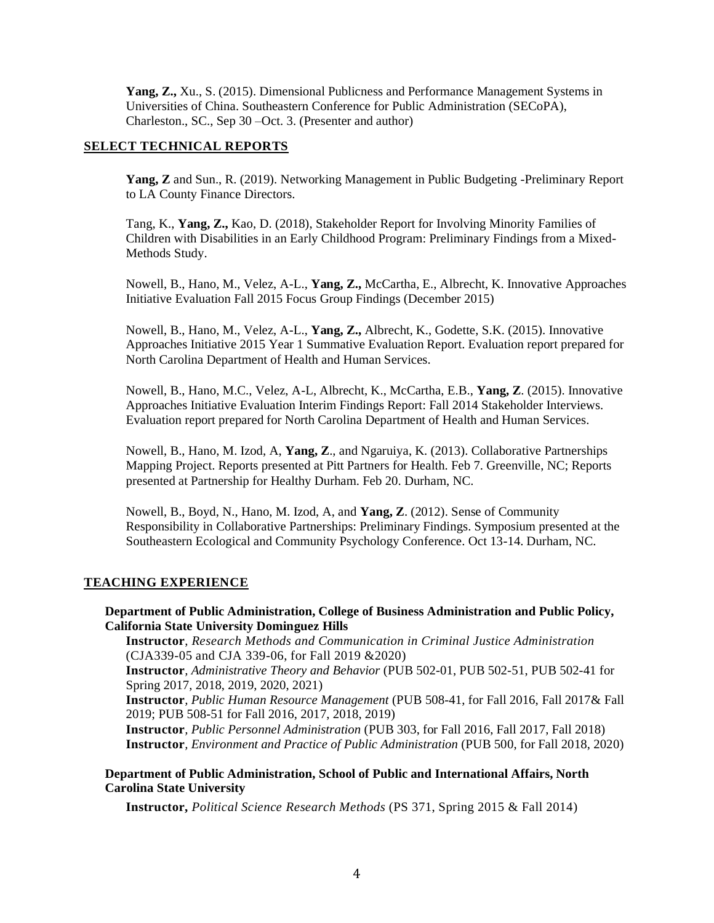**Yang, Z.,** Xu., S. (2015). Dimensional Publicness and Performance Management Systems in Universities of China. Southeastern Conference for Public Administration (SECoPA), Charleston., SC., Sep 30 –Oct. 3. (Presenter and author)

### **SELECT TECHNICAL REPORTS**

**Yang, Z** and Sun., R. (2019). Networking Management in Public Budgeting -Preliminary Report to LA County Finance Directors.

Tang, K., **Yang, Z.,** Kao, D. (2018), Stakeholder Report for Involving Minority Families of Children with Disabilities in an Early Childhood Program: Preliminary Findings from a Mixed-Methods Study.

Nowell, B., Hano, M., Velez, A-L., **Yang, Z.,** McCartha, E., Albrecht, K. Innovative Approaches Initiative Evaluation Fall 2015 Focus Group Findings (December 2015)

Nowell, B., Hano, M., Velez, A-L., **Yang, Z.,** Albrecht, K., Godette, S.K. (2015). Innovative Approaches Initiative 2015 Year 1 Summative Evaluation Report. Evaluation report prepared for North Carolina Department of Health and Human Services.

Nowell, B., Hano, M.C., Velez, A-L, Albrecht, K., McCartha, E.B., **Yang, Z**. (2015). Innovative Approaches Initiative Evaluation Interim Findings Report: Fall 2014 Stakeholder Interviews. Evaluation report prepared for North Carolina Department of Health and Human Services.

Nowell, B., Hano, M. Izod, A, **Yang, Z**., and Ngaruiya, K. (2013). Collaborative Partnerships Mapping Project. Reports presented at Pitt Partners for Health. Feb 7. Greenville, NC; Reports presented at Partnership for Healthy Durham. Feb 20. Durham, NC.

Nowell, B., Boyd, N., Hano, M. Izod, A, and **Yang, Z**. (2012). Sense of Community Responsibility in Collaborative Partnerships: Preliminary Findings. Symposium presented at the Southeastern Ecological and Community Psychology Conference. Oct 13-14. Durham, NC.

#### **TEACHING EXPERIENCE**

# **Department of Public Administration, College of Business Administration and Public Policy, California State University Dominguez Hills**

**Instructor**, *Research Methods and Communication in Criminal Justice Administration* (CJA339-05 and CJA 339-06, for Fall 2019 &2020)

**Instructor***, Administrative Theory and Behavior* (PUB 502-01, PUB 502-51, PUB 502-41 for Spring 2017, 2018, 2019, 2020, 2021)

**Instructor***, Public Human Resource Management* (PUB 508-41, for Fall 2016, Fall 2017& Fall 2019; PUB 508-51 for Fall 2016, 2017, 2018, 2019)

**Instructor***, Public Personnel Administration* (PUB 303, for Fall 2016, Fall 2017, Fall 2018) **Instructor***, Environment and Practice of Public Administration* (PUB 500, for Fall 2018, 2020)

### **Department of Public Administration, School of Public and International Affairs, North Carolina State University**

**Instructor,** *Political Science Research Methods* (PS 371, Spring 2015 & Fall 2014)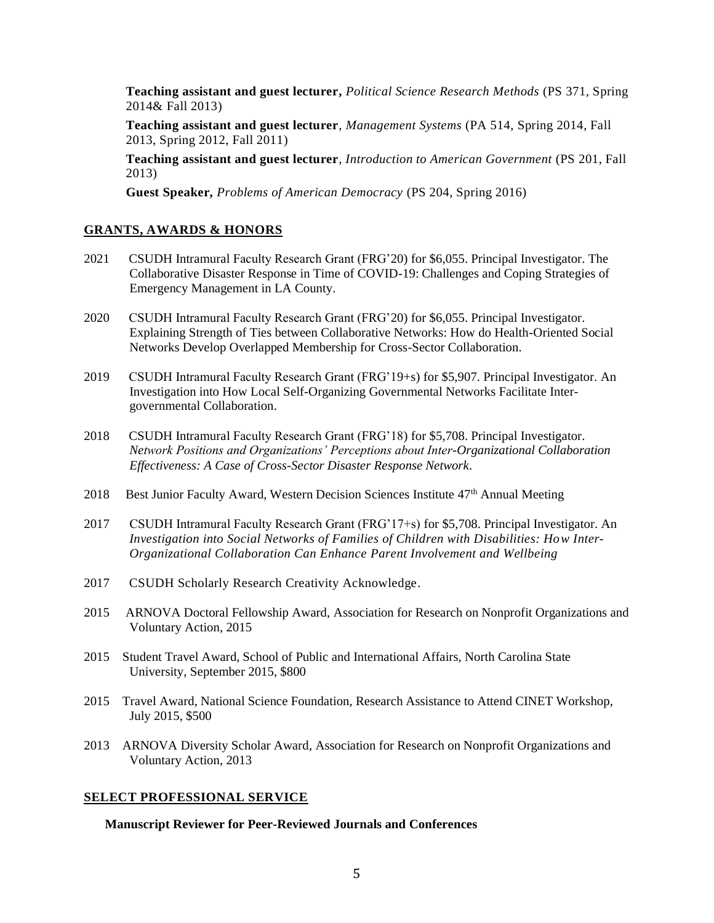**Teaching assistant and guest lecturer,** *Political Science Research Methods* (PS 371, Spring 2014& Fall 2013)

**Teaching assistant and guest lecturer**, *Management Systems* (PA 514, Spring 2014, Fall 2013, Spring 2012, Fall 2011)

**Teaching assistant and guest lecturer**, *Introduction to American Government* (PS 201, Fall 2013)

**Guest Speaker,** *Problems of American Democracy* (PS 204, Spring 2016)

# **GRANTS, AWARDS & HONORS**

- 2021 CSUDH Intramural Faculty Research Grant (FRG'20) for \$6,055. Principal Investigator. The Collaborative Disaster Response in Time of COVID-19: Challenges and Coping Strategies of Emergency Management in LA County.
- 2020 CSUDH Intramural Faculty Research Grant (FRG'20) for \$6,055. Principal Investigator. Explaining Strength of Ties between Collaborative Networks: How do Health-Oriented Social Networks Develop Overlapped Membership for Cross-Sector Collaboration.
- 2019 CSUDH Intramural Faculty Research Grant (FRG'19+s) for \$5,907. Principal Investigator. An Investigation into How Local Self-Organizing Governmental Networks Facilitate Intergovernmental Collaboration.
- 2018 CSUDH Intramural Faculty Research Grant (FRG'18) for \$5,708. Principal Investigator. *Network Positions and Organizations' Perceptions about Inter-Organizational Collaboration Effectiveness: A Case of Cross-Sector Disaster Response Network*.
- 2018 Best Junior Faculty Award, Western Decision Sciences Institute 47<sup>th</sup> Annual Meeting
- 2017 CSUDH Intramural Faculty Research Grant (FRG'17+s) for \$5,708. Principal Investigator. An *Investigation into Social Networks of Families of Children with Disabilities: How Inter-Organizational Collaboration Can Enhance Parent Involvement and Wellbeing*
- 2017 CSUDH Scholarly Research Creativity Acknowledge.
- 2015 ARNOVA Doctoral Fellowship Award, Association for Research on Nonprofit Organizations and Voluntary Action, 2015
- 2015 Student Travel Award, School of Public and International Affairs, North Carolina State University, September 2015, \$800
- 2015 Travel Award, National Science Foundation, Research Assistance to Attend CINET Workshop, July 2015, \$500
- 2013 ARNOVA Diversity Scholar Award, Association for Research on Nonprofit Organizations and Voluntary Action, 2013

# **SELECT PROFESSIONAL SERVICE**

**Manuscript Reviewer for Peer-Reviewed Journals and Conferences**